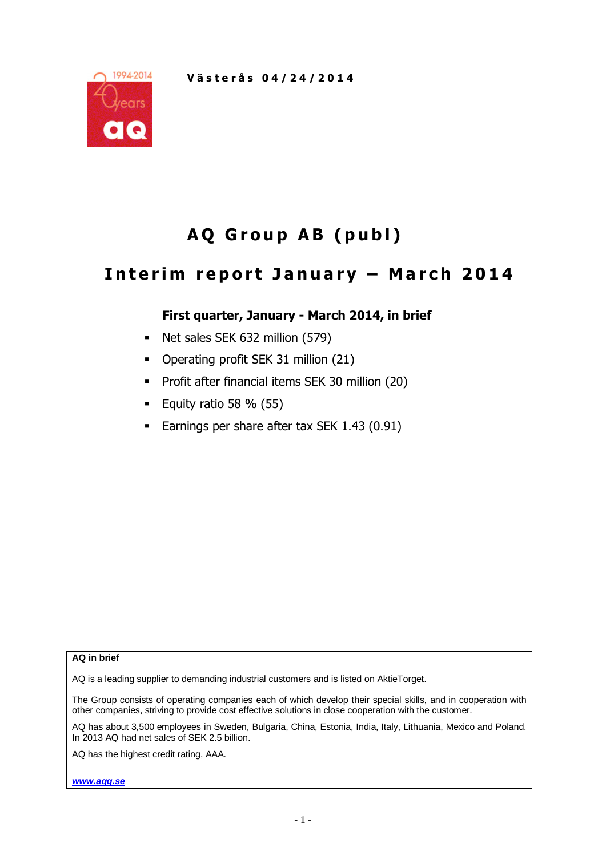

# **A Q G r o u p A B ( p u b l )**

## **I n t e r i m r e p o r t J a n u a r y – M a r c h 2 0 1 4**

## **First quarter, January - March 2014, in brief**

- Net sales SEK 632 million (579)
- Operating profit SEK 31 million (21)
- **•** Profit after financial items SEK 30 million (20)
- Equity ratio 58 %  $(55)$
- **Earnings per share after tax SEK 1.43 (0.91)**

**AQ in brief**

AQ is a leading supplier to demanding industrial customers and is listed on AktieTorget.

The Group consists of operating companies each of which develop their special skills, and in cooperation with other companies, striving to provide cost effective solutions in close cooperation with the customer.

AQ has about 3,500 employees in Sweden, Bulgaria, China, Estonia, India, Italy, Lithuania, Mexico and Poland. In 2013 AQ had net sales of SEK 2.5 billion.

AQ has the highest credit rating, AAA.

*www.aqg.se*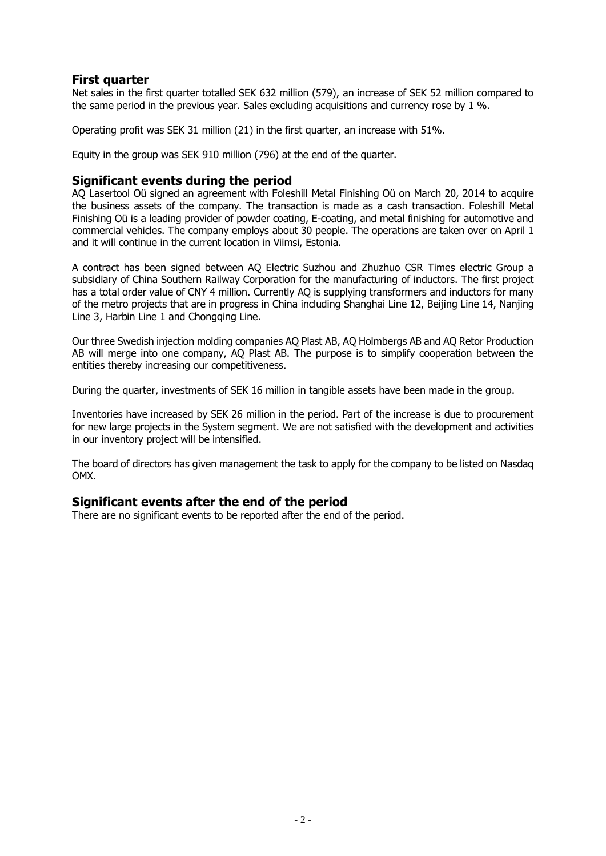## **First quarter**

Net sales in the first quarter totalled SEK 632 million (579), an increase of SEK 52 million compared to the same period in the previous year. Sales excluding acquisitions and currency rose by 1 %.

Operating profit was SEK 31 million (21) in the first quarter, an increase with 51%.

Equity in the group was SEK 910 million (796) at the end of the quarter.

#### **Significant events during the period**

AQ Lasertool Oü signed an agreement with Foleshill Metal Finishing Oü on March 20, 2014 to acquire the business assets of the company. The transaction is made as a cash transaction. Foleshill Metal Finishing Oü is a leading provider of powder coating, E-coating, and metal finishing for automotive and commercial vehicles. The company employs about 30 people. The operations are taken over on April 1 and it will continue in the current location in Viimsi, Estonia.

A contract has been signed between AQ Electric Suzhou and Zhuzhuo CSR Times electric Group a subsidiary of China Southern Railway Corporation for the manufacturing of inductors. The first project has a total order value of CNY 4 million. Currently AQ is supplying transformers and inductors for many of the metro projects that are in progress in China including Shanghai Line 12, Beijing Line 14, Nanjing Line 3, Harbin Line 1 and Chongqing Line.

Our three Swedish injection molding companies AQ Plast AB, AQ Holmbergs AB and AQ Retor Production AB will merge into one company, AQ Plast AB. The purpose is to simplify cooperation between the entities thereby increasing our competitiveness.

During the quarter, investments of SEK 16 million in tangible assets have been made in the group.

Inventories have increased by SEK 26 million in the period. Part of the increase is due to procurement for new large projects in the System segment. We are not satisfied with the development and activities in our inventory project will be intensified.

The board of directors has given management the task to apply for the company to be listed on Nasdaq OMX.

### **Significant events after the end of the period**

There are no significant events to be reported after the end of the period.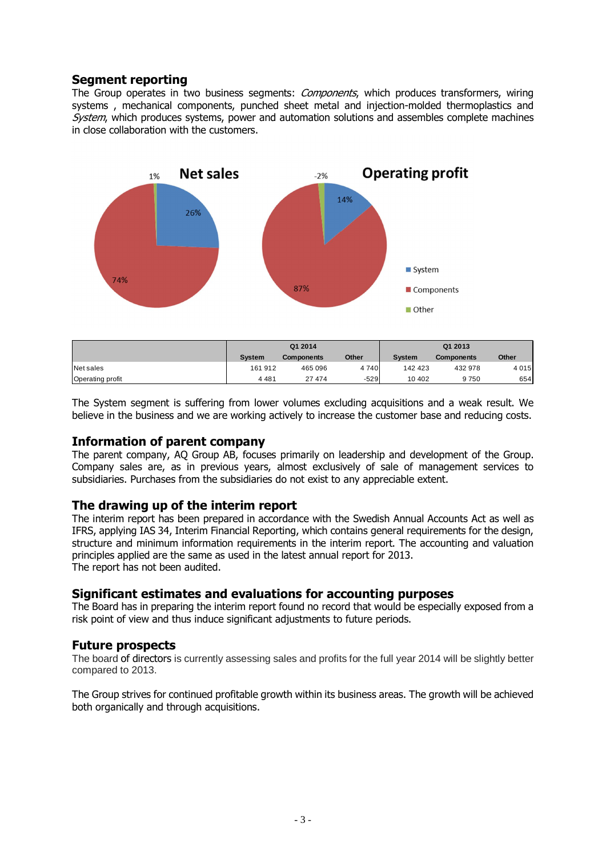## **Segment reporting**

The Group operates in two business segments: *Components*, which produces transformers, wiring systems , mechanical components, punched sheet metal and injection-molded thermoplastics and System, which produces systems, power and automation solutions and assembles complete machines in close collaboration with the customers.



|                         |         | Q1 2014           |              | Q1 2013       |                   |         |  |  |
|-------------------------|---------|-------------------|--------------|---------------|-------------------|---------|--|--|
|                         | Svstem  | <b>Components</b> | <b>Other</b> | <b>System</b> | <b>Components</b> | Other   |  |  |
| Net sales               | 161 912 | 465 096           | 4740         | 142 423       | 432 978           | 4 0 1 5 |  |  |
| <b>Operating profit</b> | 4 4 8 1 | 27 474            | $-529$       | 10 402        | 9750              | 654     |  |  |

The System segment is suffering from lower volumes excluding acquisitions and a weak result. We believe in the business and we are working actively to increase the customer base and reducing costs.

#### **Information of parent company**

The parent company, AQ Group AB, focuses primarily on leadership and development of the Group. Company sales are, as in previous years, almost exclusively of sale of management services to subsidiaries. Purchases from the subsidiaries do not exist to any appreciable extent.

#### **The drawing up of the interim report**

The interim report has been prepared in accordance with the Swedish Annual Accounts Act as well as IFRS, applying IAS 34, Interim Financial Reporting, which contains general requirements for the design, structure and minimum information requirements in the interim report. The accounting and valuation principles applied are the same as used in the latest annual report for 2013. The report has not been audited.

#### **Significant estimates and evaluations for accounting purposes**

The Board has in preparing the interim report found no record that would be especially exposed from a risk point of view and thus induce significant adjustments to future periods.

#### **Future prospects**

The board of directors is currently assessing sales and profits for the full year 2014 will be slightly better compared to 2013.

The Group strives for continued profitable growth within its business areas. The growth will be achieved both organically and through acquisitions.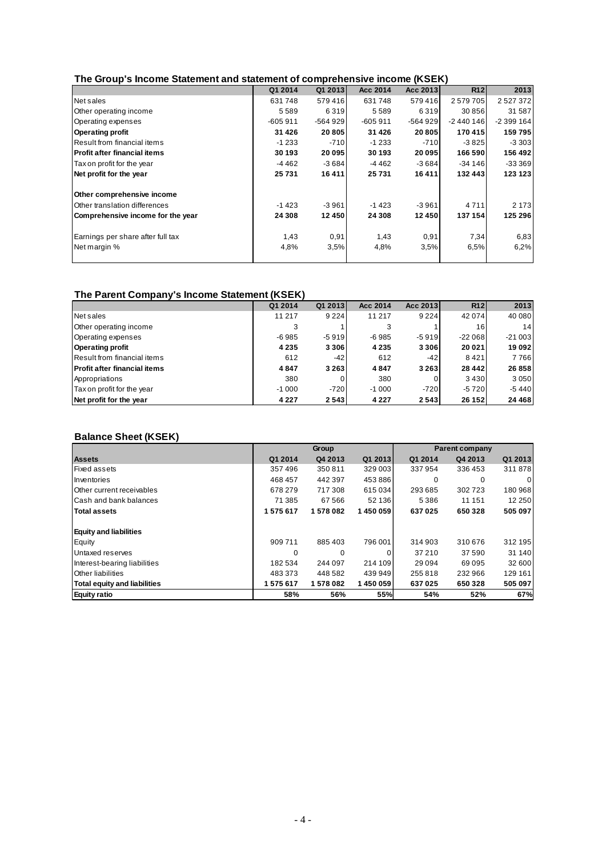#### **The Group's Income Statement and statement of comprehensive income (KSEK)**

|                                     | Q1 2014   | Q1 2013   | Acc 2014  | Acc 2013 | R12        | 2013          |
|-------------------------------------|-----------|-----------|-----------|----------|------------|---------------|
| Net sales                           | 631748    | 579416    | 631748    | 579416   | 2579705    | 2 5 2 7 3 7 2 |
| Other operating income              | 5589      | 6319      | 5589      | 6319     | 30 856     | 31 587        |
| Operating expenses                  | $-605911$ | $-564929$ | $-605911$ | -564 929 | $-2440146$ | $-2399164$    |
| <b>Operating profit</b>             | 31 4 26   | 20 805    | 31 4 26   | 20 805   | 170 415    | 159795        |
| Result from financial items         | $-1233$   | $-710$    | $-1233$   | $-710$   | $-3825$    | $-3303$       |
| <b>Profit after financial items</b> | 30 193    | 20 095    | 30 193    | 20 095   | 166 590    | 156 492       |
| Tax on profit for the year          | -4 462    | $-3684$   | -4 462    | $-3684$  | $-34146$   | $-33369$      |
| Net profit for the year             | 25 731    | 16411     | 25 731    | 16 411   | 132 443    | 123 123       |
| Other comprehensive income          |           |           |           |          |            |               |
| Other translation differences       | $-1423$   | $-3961$   | $-1423$   | $-3961$  | 4711       | 2 173         |
| Comprehensive income for the year   | 24 308    | 12 450    | 24 308    | 12 450   | 137 154    | 125 296       |
| Earnings per share after full tax   | 1,43      | 0,91      | 1,43      | 0,91     | 7,34       | 6,83          |
| Net margin %                        | 4,8%      | 3,5%      | 4,8%      | 3,5%     | 6,5%       | 6,2%          |
|                                     |           |           |           |          |            |               |

#### **The Parent Company's Income Statement (KSEK)**

|                                      | Q1 2014 | Q1 2013 | Acc 2014 | Acc 2013 | <b>R12</b> | 2013     |
|--------------------------------------|---------|---------|----------|----------|------------|----------|
| Net sales                            | 11 217  | 9 2 2 4 | 11 217   | 9 2 2 4  | 42 074     | 40 080   |
| Other operating income               | 3       |         |          |          | 16         | 14       |
| Operating expenses                   | $-6985$ | $-5919$ | $-6985$  | $-5919$  | $-22068$   | $-21003$ |
| Operating profit                     | 4 2 3 5 | 3 3 0 6 | 4 2 3 5  | 3 3 0 6  | 20 021     | 19 092   |
| Result from financial items          | 612     | $-42$   | 612      | -421     | 8421       | 7766     |
| <b>IProfit after financial items</b> | 4847    | 3 2 6 3 | 4847     | 3 2 6 3  | 28 4 4 2   | 26 858   |
| Appropriations                       | 380     |         | 380      |          | 3430       | 3 0 5 0  |
| Tax on profit for the year           | $-1000$ | $-720$  | $-1000$  | $-720$   | $-5720$    | $-5440$  |
| Net profit for the year              | 4 2 2 7 | 2543    | 4 2 2 7  | 2543     | 26 15 2    | 24 4 68  |

#### **Balance Sheet (KSEK)**

|                                     |         | Group    |         | <b>Parent company</b> |         |                |  |
|-------------------------------------|---------|----------|---------|-----------------------|---------|----------------|--|
| <b>Assets</b>                       | Q1 2014 | Q4 2013  | Q1 2013 | Q1 2014               | Q4 2013 | Q1 2013        |  |
| Fixed assets                        | 357496  | 350 811  | 329 003 | 337954                | 336 453 | 311 878        |  |
| Inventories                         | 468 457 | 442 397  | 453886  | 0                     | 0       | $\overline{0}$ |  |
| Other current receivables           | 678 279 | 717308   | 615 034 | 293 685               | 302723  | 180 968        |  |
| <b>Cash and bank balances</b>       | 71 385  | 67 566   | 52 136  | 5386                  | 11 151  | 12 250         |  |
| <b>Total assets</b>                 | 1575617 | 1578082  | 1450059 | 637025                | 650 328 | 505 097        |  |
| <b>Equity and liabilities</b>       |         |          |         |                       |         |                |  |
| Equity                              | 909711  | 885 403  | 796 001 | 314 903               | 310676  | 312 195        |  |
| Untaxed reserves                    | 0       | $\Omega$ |         | 37 210                | 37 590  | 31 140         |  |
| Interest-bearing liabilities        | 182 534 | 244 097  | 214 109 | 29 0 94               | 69 0 95 | 32 600         |  |
| Other liabilities                   | 483373  | 448 582  | 439 949 | 255818                | 232 966 | 129 161        |  |
| <b>Total equity and liabilities</b> | 1575617 | 1578082  | 1450059 | 637025                | 650 328 | 505 097        |  |
| <b>Equity ratio</b>                 | 58%     | 56%      | 55%     | 54%                   | 52%     | 67%            |  |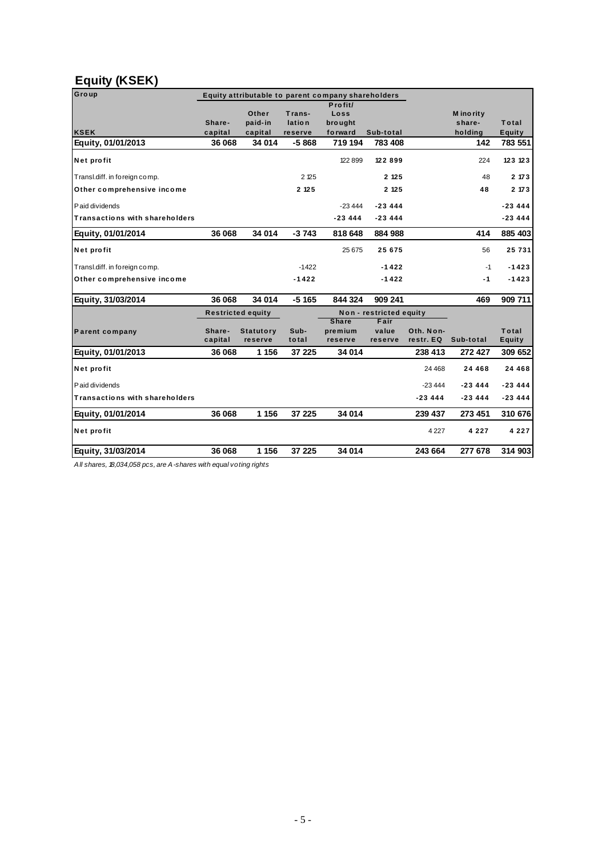## **Equity (KSEK)**

| Group                                 | Equity attributable to parent company shareholders<br>Profit/ |                             |                             |                                    |                          |                        |                                 |                 |  |
|---------------------------------------|---------------------------------------------------------------|-----------------------------|-----------------------------|------------------------------------|--------------------------|------------------------|---------------------------------|-----------------|--|
| <b>KSEK</b>                           | Share-<br>capital                                             | Other<br>paid-in<br>capital | Trans-<br>lation<br>reserve | Loss<br>bro ught<br>forward        | Sub-total                |                        | M ino rity<br>share-<br>holding | Total<br>Equity |  |
| Equity, 01/01/2013                    | 36 068                                                        | 34 014                      | $-5868$                     | 719 194                            | 783 408                  |                        | 142                             | 783 551         |  |
| Net profit                            |                                                               |                             |                             | 122 899                            | 122899                   |                        | 224                             | 123 123         |  |
| Transl.diff. in foreign comp.         |                                                               |                             | 2 125                       |                                    | 2 1 2 5                  |                        | 48                              | 2 173           |  |
| Other comprehensive income            |                                                               |                             | 2 125                       |                                    | 2 1 2 5                  |                        | 48                              | 2 173           |  |
| Paid dividends                        |                                                               |                             |                             | $-23444$                           | $-23444$                 |                        |                                 | $-23444$        |  |
| <b>Transactions with shareholders</b> |                                                               |                             |                             | $-23444$                           | $-23444$                 |                        |                                 | $-23444$        |  |
| Equity, 01/01/2014                    | 36 068                                                        | 34 014                      | $-3743$                     | 818 648                            | 884 988                  |                        | 414                             | 885 403         |  |
| Net profit                            |                                                               |                             |                             | 25 6 75                            | 25675                    |                        | 56                              | 25 731          |  |
| Transl.diff. in foreign comp.         |                                                               |                             | $-1422$                     |                                    | $-1422$                  |                        | $-1$                            | $-1423$         |  |
| Other comprehensive income            |                                                               |                             | $-1422$                     |                                    | $-1422$                  |                        | $-1$                            | $-1423$         |  |
| Equity, 31/03/2014                    | 36 068                                                        | 34 014                      | $-5165$                     | 844 324                            | 909 241                  |                        | 469                             | 909 711         |  |
|                                       | <b>Restricted equity</b>                                      |                             |                             | Non - restricted equity            |                          |                        |                                 |                 |  |
| Parent company                        | Share-<br>capital                                             | <b>Statutory</b><br>reserve | Sub-<br>total               | <b>Share</b><br>premium<br>reserve | Fair<br>value<br>reserve | Oth. Non-<br>restr. EQ | Sub-total                       | Total<br>Equity |  |
| Equity, 01/01/2013                    | 36 068                                                        | 1 1 5 6                     | 37 225                      | 34 014                             |                          | 238 413                | 272 427                         | 309 652         |  |
| Net profit                            |                                                               |                             |                             |                                    |                          | 24 4 68                | 24 4 6 8                        | 24 4 6 8        |  |
| Paid dividends                        |                                                               |                             |                             |                                    |                          | $-23444$               | $-23444$                        | $-23444$        |  |
| <b>Transactions with shareholders</b> |                                                               |                             |                             |                                    |                          | $-23444$               | $-23444$                        | $-23444$        |  |
| Equity, 01/01/2014                    | 36 068                                                        | 1 1 5 6                     | 37 225                      | 34 014                             |                          | 239 437                | 273 451                         | 310 676         |  |
| Net profit                            |                                                               |                             |                             |                                    |                          | 4 2 2 7                | 4 2 2 7                         | 4 2 2 7         |  |
| Equity, 31/03/2014                    | 36 068                                                        | 1 1 5 6                     | 37 225                      | 34 014                             |                          | 243 664                | 277 678                         | 314 903         |  |

*All shares, 18,034,058 pcs, are A-shares with equal voting rights*